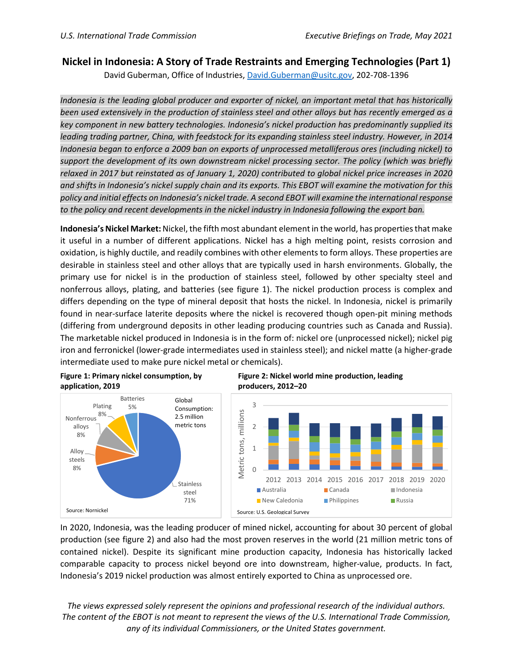## **Nickel in Indonesia: A Story of Trade Restraints and Emerging Technologies (Part 1)**

David Guberman, Office of Industries, [David.Guberman@usitc.gov,](file://s1p-fsc-01/Home/david.guberman/Documents/Nickel/Indonesia/Bob%20Edits/David.Guberman@usitc.gov) 202-708-1396

*Indonesia is the leading global producer and exporter of nickel, an important metal that has historically been used extensively in the production of stainless steel and other alloys but has recently emerged as a key component in new battery technologies. Indonesia's nickel production has predominantly supplied its leading trading partner, China, with feedstock for its expanding stainless steel industry. However, in 2014 Indonesia began to enforce a 2009 ban on exports of unprocessed metalliferous ores (including nickel) to support the development of its own downstream nickel processing sector. The policy (which was briefly relaxed in 2017 but reinstated as of January 1, 2020) contributed to global nickel price increases in 2020 and shifts in Indonesia's nickel supply chain and its exports. This EBOT will examine the motivation for this policy and initial effects on Indonesia's nickel trade. A second EBOT will examine the international response to the policy and recent developments in the nickel industry in Indonesia following the export ban.*

**Indonesia's Nickel Market:** Nickel, the fifth most abundant element in the world, has properties that make it useful in a number of different applications. Nickel has a high melting point, resists corrosion and oxidation, is highly ductile, and readily combines with other elements to form alloys. These properties are desirable in stainless steel and other alloys that are typically used in harsh environments. Globally, the primary use for nickel is in the production of stainless steel, followed by other specialty steel and nonferrous alloys, plating, and batteries (see figure 1). The nickel production process is complex and differs depending on the type of mineral deposit that hosts the nickel. In Indonesia, nickel is primarily found in near-surface laterite deposits where the nickel is recovered though open-pit mining methods (differing from underground deposits in other leading producing countries such as Canada and Russia). The marketable nickel produced in Indonesia is in the form of: nickel ore (unprocessed nickel); nickel pig iron and ferronickel (lower-grade intermediates used in stainless steel); and nickel matte (a higher-grade intermediate used to make pure nickel metal or chemicals).







In 2020, Indonesia, was the leading producer of mined nickel, accounting for about 30 percent of global production (see figure 2) and also had the most proven reserves in the world (21 million metric tons of contained nickel). Despite its significant mine production capacity, Indonesia has historically lacked comparable capacity to process nickel beyond ore into downstream, higher-value, products. In fact, Indonesia's 2019 nickel production was almost entirely exported to China as unprocessed ore.

*The views expressed solely represent the opinions and professional research of the individual authors. The content of the EBOT is not meant to represent the views of the U.S. International Trade Commission, any of its individual Commissioners, or the United States government.*